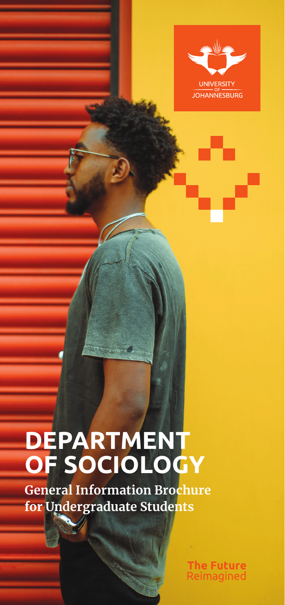

# **DEPARTMENT OF SOCIOLOGY**

**General Information Brochure for Undergraduate Students**

> **The Future** Reimagined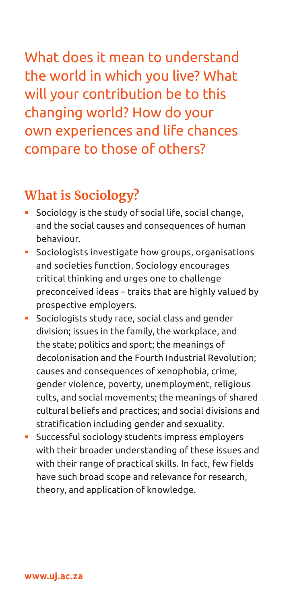What does it mean to understand the world in which you live? What will your contribution be to this changing world? How do your own experiences and life chances compare to those of others?

#### **What is Sociology?**

- Sociology is the study of social life, social change, and the social causes and consequences of human behaviour.
- Sociologists investigate how groups, organisations and societies function. Sociology encourages critical thinking and urges one to challenge preconceived ideas – traits that are highly valued by prospective employers.
- Sociologists study race, social class and gender division; issues in the family, the workplace, and the state; politics and sport; the meanings of decolonisation and the Fourth Industrial Revolution; causes and consequences of xenophobia, crime, gender violence, poverty, unemployment, religious cults, and social movements; the meanings of shared cultural beliefs and practices; and social divisions and stratification including gender and sexuality.
- Successful sociology students impress employers with their broader understanding of these issues and with their range of practical skills. In fact, few fields have such broad scope and relevance for research, theory, and application of knowledge.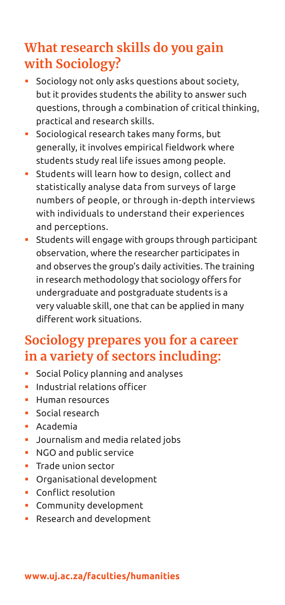## **What research skills do you gain with Sociology?**

- Sociology not only asks questions about society, but it provides students the ability to answer such questions, through a combination of critical thinking, practical and research skills.
- Sociological research takes many forms, but generally, it involves empirical fieldwork where students study real life issues among people.
- Students will learn how to design, collect and statistically analyse data from surveys of large numbers of people, or through in-depth interviews with individuals to understand their experiences and perceptions.
- Students will engage with groups through participant observation, where the researcher participates in and observes the group's daily activities. The training in research methodology that sociology offers for undergraduate and postgraduate students is a very valuable skill, one that can be applied in many different work situations.

## **Sociology prepares you for a career in a variety of sectors including:**

- Social Policy planning and analyses
- **Industrial relations officer**
- Human resources
- **Social research**
- Academia
- **Journalism and media related jobs**
- NGO and public service
- **Trade union sector**
- Organisational development
- **Conflict resolution**
- **Community development**
- **Research and development**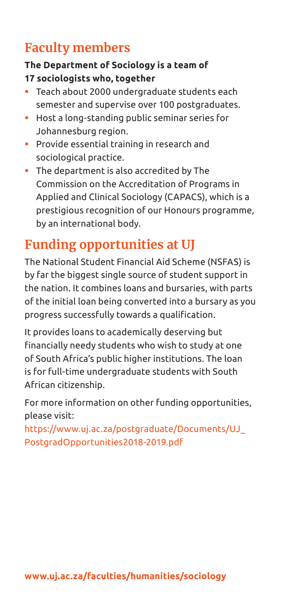# **Faculty members**

#### **The Department of Sociology is a team of 17 sociologists who, together**

- Teach about 2000 undergraduate students each semester and supervise over 100 postgraduates.
- Host a long-standing public seminar series for Johannesburg region.
- **Provide essential training in research and** sociological practice.
- The department is also accredited by The Commission on the Accreditation of Programs in Applied and Clinical Sociology (CAPACS), which is a prestigious recognition of our Honours programme, by an international body.

## **Funding opportunities at UJ**

The National Student Financial Aid Scheme (NSFAS) is by far the biggest single source of student support in the nation. It combines loans and bursaries, with parts of the initial loan being converted into a bursary as you progress successfully towards a qualification.

It provides loans to academically deserving but financially needy students who wish to study at one of South Africa's public higher institutions. The loan is for full-time undergraduate students with South African citizenship.

For more information on other funding opportunities, please visit:

https://www.uj.ac.za/postgraduate/Documents/UJ\_ PostgradOpportunities2018-2019.pdf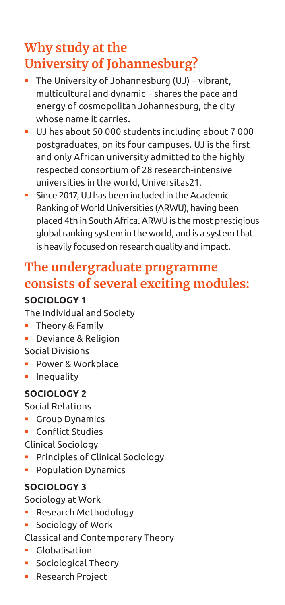# **Why study at the University of Johannesburg?**

- The University of Johannesburg (UJ) vibrant, multicultural and dynamic – shares the pace and energy of cosmopolitan Johannesburg, the city whose name it carries.
- UJ has about 50 000 students including about 7 000 postgraduates, on its four campuses. UJ is the first and only African university admitted to the highly respected consortium of 28 research-intensive universities in the world, Universitas21.
- Since 2017, UJ has been included in the Academic Ranking of World Universities (ARWU), having been placed 4th in South Africa. ARWU is the most prestigious global ranking system in the world, and is a system that is heavily focused on research quality and impact.

### **The undergraduate programme consists of several exciting modules:**

#### **SOCIOLOGY 1**

The Individual and Society

- **Theory & Family**
- **Deviance & Religion**
- Social Divisions
- Power & Workplace
- Inequality

#### **SOCIOLOGY 2**

Social Relations

- Group Dynamics
- Conflict Studies

Clinical Sociology

- Principles of Clinical Sociology
- Population Dynamics

#### **SOCIOLOGY 3**

Sociology at Work

- Research Methodology
- Sociology of Work

Classical and Contemporary Theory

- Globalisation
- **Sociological Theory**
- Research Project